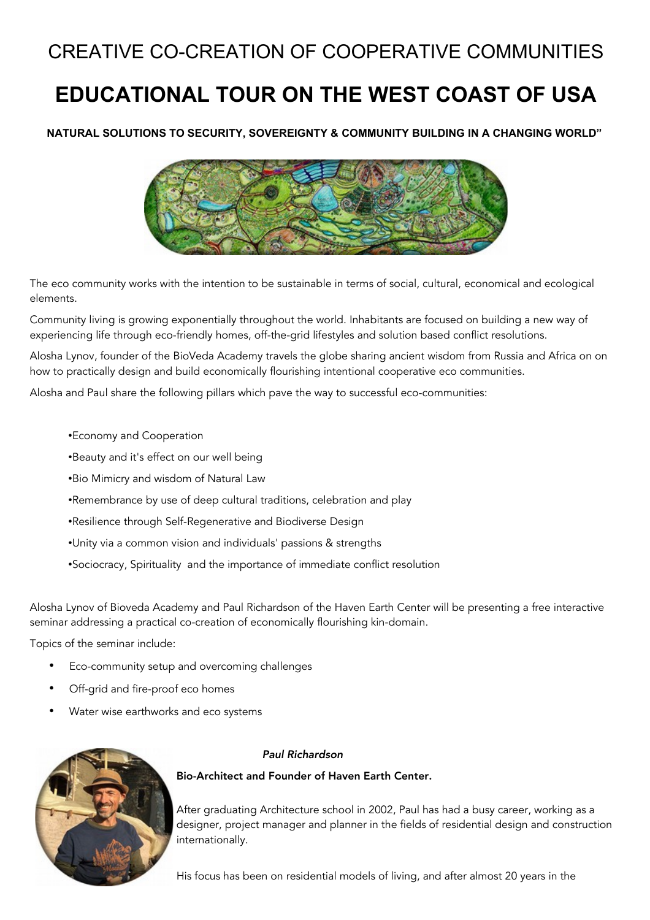## CREATIVE CO-CREATION OF COOPERATIVE COMMUNITIES

# **EDUCATIONAL TOUR ON THE WEST COAST OF USA**

**NATURAL SOLUTIONS TO SECURITY, SOVEREIGNTY & COMMUNITY BUILDING IN A CHANGING WORLD"**



The eco community works with the intention to be sustainable in terms of social, cultural, economical and ecological elements.

Community living is growing exponentially throughout the world. Inhabitants are focused on building a new way of experiencing life through eco-friendly homes, off-the-grid lifestyles and solution based conflict resolutions.

Alosha Lynov, founder of the BioVeda Academy travels the globe sharing ancient wisdom from Russia and Africa on on how to practically design and build economically flourishing intentional cooperative eco communities.

Alosha and Paul share the following pillars which pave the way to successful eco-communities:

- •Economy and Cooperation
- •Beauty and it's effect on our well being
- •Bio Mimicry and wisdom of Natural Law
- •Remembrance by use of deep cultural traditions, celebration and play
- •Resilience through Self-Regenerative and Biodiverse Design
- •Unity via a common vision and individuals' passions & strengths
- •Sociocracy, Spirituality and the importance of immediate conflict resolution

Alosha Lynov of Bioveda Academy and Paul Richardson of the Haven Earth Center will be presenting a free interactive seminar addressing a practical co-creation of economically flourishing kin-domain.

Topics of the seminar include:

- Eco-community setup and overcoming challenges
- Off-grid and fire-proof eco homes
- Water wise earthworks and eco systems



#### Paul Richardson

Bio-Architect and Founder of Haven Earth Center.

After graduating Architecture school in 2002, Paul has had a busy career, working as a designer, project manager and planner in the fields of residential design and construction internationally.

His focus has been on residential models of living, and after almost 20 years in the